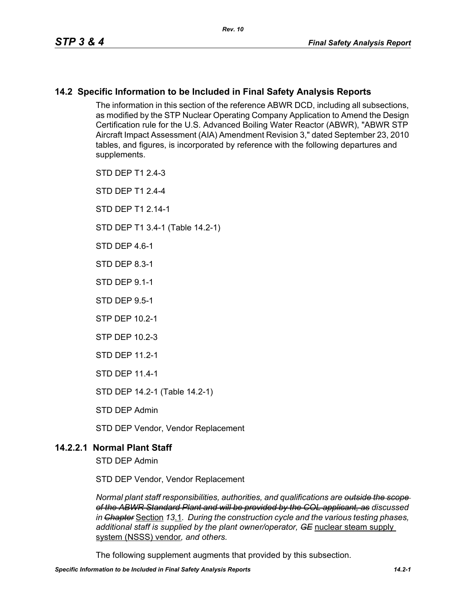# **14.2 Specific Information to be Included in Final Safety Analysis Reports**

The information in this section of the reference ABWR DCD, including all subsections, as modified by the STP Nuclear Operating Company Application to Amend the Design Certification rule for the U.S. Advanced Boiling Water Reactor (ABWR), "ABWR STP Aircraft Impact Assessment (AIA) Amendment Revision 3," dated September 23, 2010 tables, and figures, is incorporated by reference with the following departures and supplements.

STD DEP T1 2.4-3

STD DEP T1 2.4-4

STD DFP T1 2 14-1

STD DEP T1 3.4-1 (Table 14.2-1)

STD DFP 46-1

STD DEP 8.3-1

STD DEP 9.1-1

STD DEP 9.5-1

STP DEP 10.2-1

STP DEP 10.2-3

STD DEP 11.2-1

STD DEP 11.4-1

STD DEP 14.2-1 (Table 14.2-1)

STD DEP Admin

STD DEP Vendor, Vendor Replacement

# **14.2.2.1 Normal Plant Staff**

STD DEP Admin

STD DEP Vendor, Vendor Replacement

*Normal plant staff responsibilities, authorities, and qualifications are outside the scope of the ABWR Standard Plant and will be provided by the COL applicant, as discussed in Chapter* Section *13*.1*. During the construction cycle and the various testing phases, additional staff is supplied by the plant owner/operator, GE* nuclear steam supply system (NSSS) vendor*, and others.* 

The following supplement augments that provided by this subsection.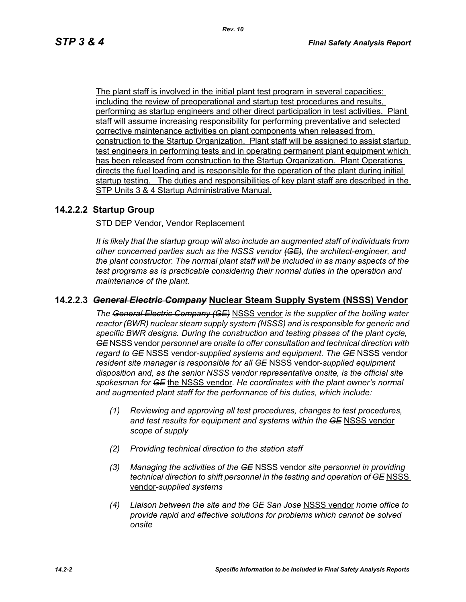The plant staff is involved in the initial plant test program in several capacities; including the review of preoperational and startup test procedures and results, performing as startup engineers and other direct participation in test activities. Plant staff will assume increasing responsibility for performing preventative and selected corrective maintenance activities on plant components when released from construction to the Startup Organization. Plant staff will be assigned to assist startup test engineers in performing tests and in operating permanent plant equipment which has been released from construction to the Startup Organization. Plant Operations directs the fuel loading and is responsible for the operation of the plant during initial startup testing. The duties and responsibilities of key plant staff are described in the STP Units 3 & 4 Startup Administrative Manual.

## **14.2.2.2 Startup Group**

STD DEP Vendor, Vendor Replacement

*It is likely that the startup group will also include an augmented staff of individuals from other concerned parties such as the NSSS vendor (GE), the architect-engineer, and the plant constructor. The normal plant staff will be included in as many aspects of the test programs as is practicable considering their normal duties in the operation and maintenance of the plant.*

## **14.2.2.3** *General Electric Company* **Nuclear Steam Supply System (NSSS) Vendor**

*The General Electric Company (GE)* NSSS vendor *is the supplier of the boiling water reactor (BWR) nuclear steam supply system (NSSS) and is responsible for generic and specific BWR designs. During the construction and testing phases of the plant cycle, GE* NSSS vendor *personnel are onsite to offer consultation and technical direction with regard to GE* NSSS vendor-*supplied systems and equipment. The GE* NSSS vendor *resident site manager is responsible for all GE* NSSS vendor-*supplied equipment disposition and, as the senior NSSS vendor representative onsite, is the official site spokesman for GE* the NSSS vendor*. He coordinates with the plant owner's normal and augmented plant staff for the performance of his duties, which include:*

- *(1) Reviewing and approving all test procedures, changes to test procedures, and test results for equipment and systems within the GE* NSSS vendor *scope of supply*
- *(2) Providing technical direction to the station staff*
- *(3) Managing the activities of the GE* NSSS vendor *site personnel in providing technical direction to shift personnel in the testing and operation of GE NSSS* vendor*-supplied systems*
- *(4) Liaison between the site and the GE San Jose* NSSS vendor *home office to provide rapid and effective solutions for problems which cannot be solved onsite*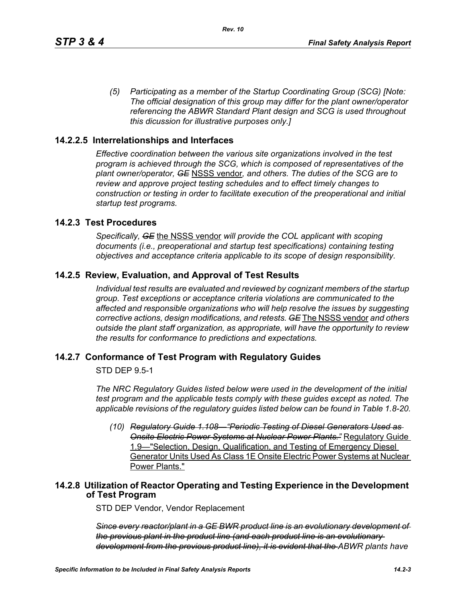*(5) Participating as a member of the Startup Coordinating Group (SCG) [Note: The official designation of this group may differ for the plant owner/operator referencing the ABWR Standard Plant design and SCG is used throughout this dicussion for illustrative purposes only.]*

## **14.2.2.5 Interrelationships and Interfaces**

*Effective coordination between the various site organizations involved in the test program is achieved through the SCG, which is composed of representatives of the plant owner/operator, GE* NSSS vendor*, and others. The duties of the SCG are to review and approve project testing schedules and to effect timely changes to construction or testing in order to facilitate execution of the preoperational and initial startup test programs.*

## **14.2.3 Test Procedures**

*Specifically, GE* the NSSS vendor *will provide the COL applicant with scoping documents (i.e., preoperational and startup test specifications) containing testing objectives and acceptance criteria applicable to its scope of design responsibility.*

## **14.2.5 Review, Evaluation, and Approval of Test Results**

*Individual test results are evaluated and reviewed by cognizant members of the startup group. Test exceptions or acceptance criteria violations are communicated to the affected and responsible organizations who will help resolve the issues by suggesting corrective actions, design modifications, and retests. GE* The NSSS vendor *and others outside the plant staff organization, as appropriate, will have the opportunity to review the results for conformance to predictions and expectations.*

## **14.2.7 Conformance of Test Program with Regulatory Guides**

STD DEP 9.5-1

*The NRC Regulatory Guides listed below were used in the development of the initial test program and the applicable tests comply with these guides except as noted. The applicable revisions of the regulatory guides listed below can be found in Table 1.8-20.*

*(10) Regulatory Guide 1.108—"Periodic Testing of Diesel Generators Used as Onsite Electric Power Systems at Nuclear Power Plants."* Regulatory Guide 1.9—"Selection, Design, Qualification, and Testing of Emergency Diesel Generator Units Used As Class 1E Onsite Electric Power Systems at Nuclear Power Plants."

## **14.2.8 Utilization of Reactor Operating and Testing Experience in the Development of Test Program**

STD DEP Vendor, Vendor Replacement

*Since every reactor/plant in a GE BWR product line is an evolutionary development of the previous plant in the product line (and each product line is an evolutionary development from the previous product line), it is evident that the ABWR plants have*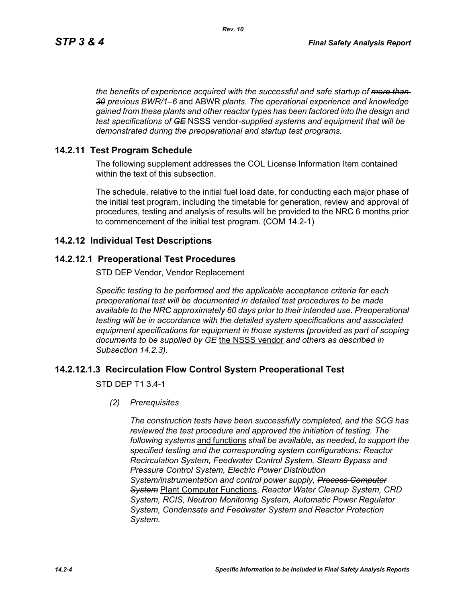*the benefits of experience acquired with the successful and safe startup of more than 30 previous BWR/1–6* and ABWR *plants. The operational experience and knowledge gained from these plants and other reactor types has been factored into the design and test specifications of GE* NSSS vendor*-supplied systems and equipment that will be demonstrated during the preoperational and startup test programs.*

## **14.2.11 Test Program Schedule**

The following supplement addresses the COL License Information Item contained within the text of this subsection.

The schedule, relative to the initial fuel load date, for conducting each major phase of the initial test program, including the timetable for generation, review and approval of procedures, testing and analysis of results will be provided to the NRC 6 months prior to commencement of the initial test program. (COM 14.2-1)

## **14.2.12 Individual Test Descriptions**

## **14.2.12.1 Preoperational Test Procedures**

STD DEP Vendor, Vendor Replacement

*Specific testing to be performed and the applicable acceptance criteria for each preoperational test will be documented in detailed test procedures to be made available to the NRC approximately 60 days prior to their intended use. Preoperational testing will be in accordance with the detailed system specifications and associated equipment specifications for equipment in those systems (provided as part of scoping documents to be supplied by GE* the NSSS vendor *and others as described in Subsection 14.2.3).*

## **14.2.12.1.3 Recirculation Flow Control System Preoperational Test**

STD DEP T1 3.4-1

*(2) Prerequisites*

*The construction tests have been successfully completed, and the SCG has reviewed the test procedure and approved the initiation of testing. The following systems* and functions *shall be available, as needed, to support the specified testing and the corresponding system configurations: Reactor Recirculation System, Feedwater Control System, Steam Bypass and Pressure Control System, Electric Power Distribution System/instrumentation and control power supply, Process Computer System* Plant Computer Functions, *Reactor Water Cleanup System, CRD System, RCIS, Neutron Monitoring System, Automatic Power Regulator System, Condensate and Feedwater System and Reactor Protection System.*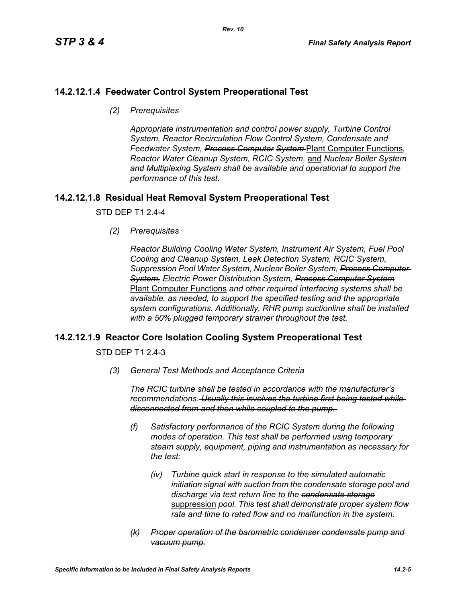# **14.2.12.1.4 Feedwater Control System Preoperational Test**

*(2) Prerequisites*

*Appropriate instrumentation and control power supply, Turbine Control System, Reactor Recirculation Flow Control System, Condensate and Feedwater System, Process Computer System* Plant Computer Functions*, Reactor Water Cleanup System, RCIC System,* and *Nuclear Boiler System and Multiplexing System shall be available and operational to support the performance of this test.*

# **14.2.12.1.8 Residual Heat Removal System Preoperational Test**

STD DEP T1 2.4-4

*(2) Prerequisites*

*Reactor Building Cooling Water System, Instrument Air System, Fuel Pool Cooling and Cleanup System, Leak Detection System, RCIC System, Suppression Pool Water System, Nuclear Boiler System, Process Computer System, Electric Power Distribution System, Process Computer System* Plant Computer Functions *and other required interfacing systems shall be available, as needed, to support the specified testing and the appropriate system configurations. Additionally, RHR pump suctionline shall be installed with a 50% plugged temporary strainer throughout the test.*

# **14.2.12.1.9 Reactor Core Isolation Cooling System Preoperational Test**

STD DEP T1 2.4-3

*(3) General Test Methods and Acceptance Criteria*

*The RCIC turbine shall be tested in accordance with the manufacturer's recommendations. Usually this involves the turbine first being tested while disconnected from and then while coupled to the pump.* 

- *(f) Satisfactory performance of the RCIC System during the following modes of operation. This test shall be performed using temporary steam supply, equipment, piping and instrumentation as necessary for the test:*
	- *(iv) Turbine quick start in response to the simulated automatic initiation signal with suction from the condensate storage pool and discharge via test return line to the condensate storage* suppression *pool. This test shall demonstrate proper system flow rate and time to rated flow and no malfunction in the system.*
- *(k) Proper operation of the barometric condenser condensate pump and vacuum pump.*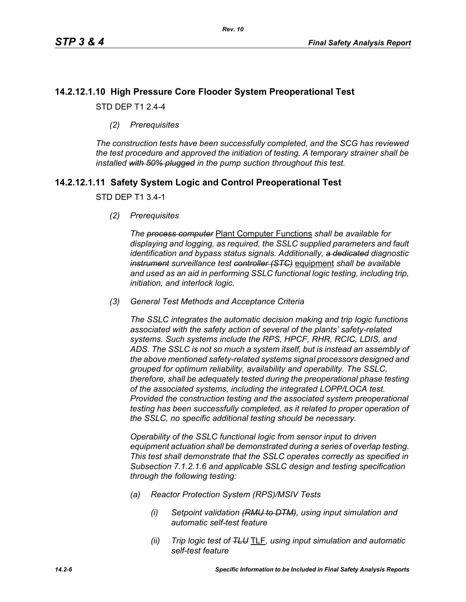# **14.2.12.1.10 High Pressure Core Flooder System Preoperational Test**

STD DEP T1 2.4-4

*(2) Prerequisites*

*The construction tests have been successfully completed, and the SCG has reviewed the test procedure and approved the initiation of testing. A temporary strainer shall be installed with 50% plugged in the pump suction throughout this test.*

# **14.2.12.1.11 Safety System Logic and Control Preoperational Test**

## STD DEP T1 3.4-1

*(2) Prerequisites*

*The process computer* Plant Computer Functions *shall be available for displaying and logging, as required, the SSLC supplied parameters and fault identification and bypass status signals. Additionally, a dedicated diagnostic instrument surveillance test controller (STC)* equipment *shall be available and used as an aid in performing SSLC functional logic testing, including trip, initiation, and interlock logic.*

*(3) General Test Methods and Acceptance Criteria*

*The SSLC integrates the automatic decision making and trip logic functions associated with the safety action of several of the plants' safety-related systems. Such systems include the RPS, HPCF, RHR, RCIC, LDIS, and ADS. The SSLC is not so much a system itself, but is instead an assembly of the above mentioned safety-related systems signal processors designed and grouped for optimum reliability, availability and operability. The SSLC, therefore, shall be adequately tested during the preoperational phase testing of the associated systems, including the integrated LOPP/LOCA test. Provided the construction testing and the associated system preoperational testing has been successfully completed, as it related to proper operation of the SSLC, no specific additional testing should be necessary.*

*Operability of the SSLC functional logic from sensor input to driven equipment actuation shall be demonstrated during a series of overlap testing. This test shall demonstrate that the SSLC operates correctly as specified in Subsection 7.1.2.1.6 and applicable SSLC design and testing specification through the following testing:*

- *(a) Reactor Protection System (RPS)/MSIV Tests*
	- *(i) Setpoint validation (RMU to DTM), using input simulation and automatic self-test feature*
	- *(ii) Trip logic test of TLU* TLF*, using input simulation and automatic self-test feature*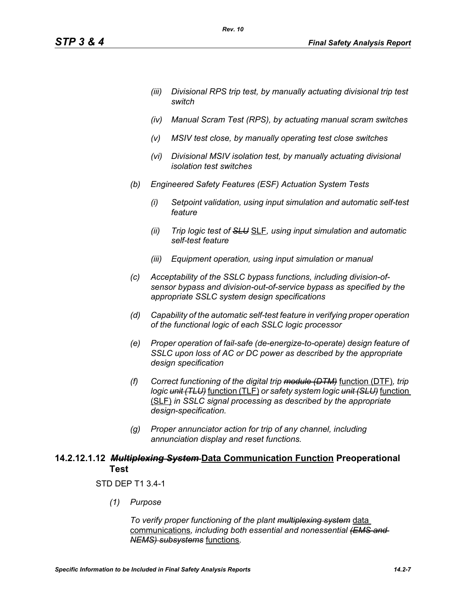- *(iii) Divisional RPS trip test, by manually actuating divisional trip test switch*
- *(iv) Manual Scram Test (RPS), by actuating manual scram switches*
- *(v) MSIV test close, by manually operating test close switches*
- *(vi) Divisional MSIV isolation test, by manually actuating divisional isolation test switches*
- *(b) Engineered Safety Features (ESF) Actuation System Tests*

*Rev. 10*

- *(i) Setpoint validation, using input simulation and automatic self-test feature*
- *(ii) Trip logic test of SLU* SLF*, using input simulation and automatic self-test feature*
- *(iii) Equipment operation, using input simulation or manual*
- *(c) Acceptability of the SSLC bypass functions, including division-ofsensor bypass and division-out-of-service bypass as specified by the appropriate SSLC system design specifications*
- *(d) Capability of the automatic self-test feature in verifying proper operation of the functional logic of each SSLC logic processor*
- *(e) Proper operation of fail-safe (de-energize-to-operate) design feature of SSLC upon loss of AC or DC power as described by the appropriate design specification*
- *(f) Correct functioning of the digital trip module (DTM)* function (DTF)*, trip logic unit (TLU)* function (TLF) *or safety system logic unit (SLU)* function (SLF) *in SSLC signal processing as described by the appropriate design-specification.*
- *(g) Proper annunciator action for trip of any channel, including annunciation display and reset functions.*

# **14.2.12.1.12** *Multiplexing System* **Data Communication Function Preoperational Test**

## STD DEP T1 3.4-1

*(1) Purpose*

*To verify proper functioning of the plant multiplexing system* data communications*, including both essential and nonessential (EMS and NEMS) subsystems* functions*.*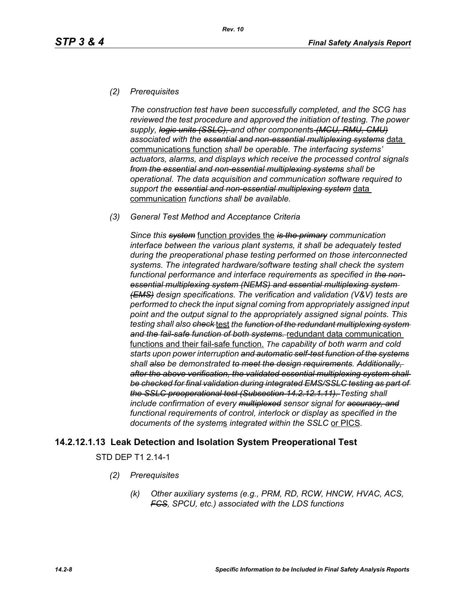## *(2) Prerequisites*

*The construction test have been successfully completed, and the SCG has reviewed the test procedure and approved the initiation of testing. The power supply, logic units (SSLC), and other component*s *(MCU, RMU, CMU) associated with the essential and non-essential multiplexing systems* data communications function *shall be operable. The interfacing systems' actuators, alarms, and displays which receive the processed control signals from the essential and non-essential multiplexing systems shall be operational. The data acquisition and communication software required to support the essential and non-essential multiplexing system* data communication *functions shall be available.*

#### *(3) General Test Method and Acceptance Criteria*

*Since this system* function provides the *is the primary communication interface between the various plant systems, it shall be adequately tested during the preoperational phase testing performed on those interconnected systems. The integrated hardware/software testing shall check the system functional performance and interface requirements as specified in the nonessential multiplexing system (NEMS) and essential multiplexing system (EMS) design specifications. The verification and validation (V&V) tests are performed to check the input signal coming from appropriately assigned input point and the output signal to the appropriately assigned signal points. This testing shall also check* test *the function of the redundant multiplexing system and the fail-safe function of both systems.* redundant data communication functions and their fail-safe function. *The capability of both warm and cold starts upon power interruption and automatic self-test function of the systems shall also be demonstrated to meet the design requirements. Additionally, after the above verification, the validated essential multiplexing system shall be checked for final validation during integrated EMS/SSLC testing as part of the SSLC preoperational test (Subsection 14.2.12.1.11). Testing shall include confirmation of every multiplexed sensor signal for accuracy, and functional requirements of control, interlock or display as specified in the documents of the system*s *integrated within the SSLC* or PICS*.*

## **14.2.12.1.13 Leak Detection and Isolation System Preoperational Test**

STD DEP T1 2.14-1

- *(2) Prerequisites*
	- *(k) Other auxiliary systems (e.g., PRM, RD, RCW, HNCW, HVAC, ACS, FCS, SPCU, etc.) associated with the LDS functions*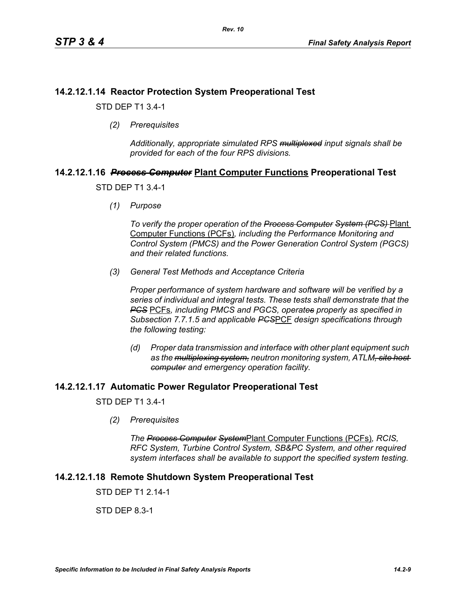# **14.2.12.1.14 Reactor Protection System Preoperational Test**

STD DEP T1 3.4-1

*(2) Prerequisites*

*Additionally, appropriate simulated RPS multiplexed input signals shall be provided for each of the four RPS divisions.*

# **14.2.12.1.16** *Process Computer* **Plant Computer Functions Preoperational Test**

STD DEP T1 3.4-1

*(1) Purpose*

*To verify the proper operation of the Process Computer System (PCS)* Plant Computer Functions (PCFs)*, including the Performance Monitoring and Control System (PMCS) and the Power Generation Control System (PGCS) and their related functions.*

*(3) General Test Methods and Acceptance Criteria*

*Proper performance of system hardware and software will be verified by a series of individual and integral tests. These tests shall demonstrate that the PCS* PCFs*, including PMCS and PGCS, operates properly as specified in Subsection 7.7.1.5 and applicable PCS*PCF *design specifications through the following testing:*

*(d) Proper data transmission and interface with other plant equipment such as the multiplexing system, neutron monitoring system, ATLM, site host computer and emergency operation facility.*

# **14.2.12.1.17 Automatic Power Regulator Preoperational Test**

STD DEP T1 3.4-1

*(2) Prerequisites*

*The Process Computer System*Plant Computer Functions (PCFs)*, RCIS, RFC System, Turbine Control System, SB&PC System, and other required system interfaces shall be available to support the specified system testing.*

# **14.2.12.1.18 Remote Shutdown System Preoperational Test**

STD DFP T1 2 14-1

STD DEP 8.3-1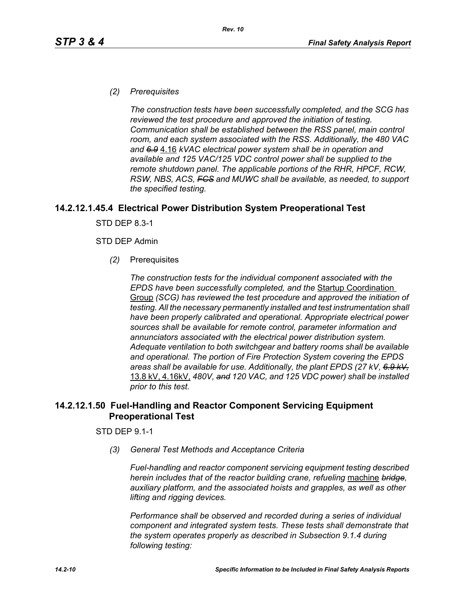#### *(2) Prerequisites*

*The construction tests have been successfully completed, and the SCG has reviewed the test procedure and approved the initiation of testing. Communication shall be established between the RSS panel, main control room, and each system associated with the RSS. Additionally, the 480 VAC and 6.9* 4.16 *kVAC electrical power system shall be in operation and available and 125 VAC/125 VDC control power shall be supplied to the remote shutdown panel. The applicable portions of the RHR, HPCF, RCW, RSW, NBS, ACS, FCS and MUWC shall be available, as needed, to support the specified testing.*

## **14.2.12.1.45.4 Electrical Power Distribution System Preoperational Test**

STD DEP 8.3-1

#### STD DEP Admin

*(2)* Prerequisites

*The construction tests for the individual component associated with the EPDS have been successfully completed, and the* Startup Coordination Group *(SCG) has reviewed the test procedure and approved the initiation of testing. All the necessary permanently installed and test instrumentation shall have been properly calibrated and operational. Appropriate electrical power sources shall be available for remote control, parameter information and annunciators associated with the electrical power distribution system. Adequate ventilation to both switchgear and battery rooms shall be available and operational. The portion of Fire Protection System covering the EPDS areas shall be available for use. Additionally, the plant EPDS (27 kV, 6.9 kV,* 13.8 kV, 4.16kV, *480V, and 120 VAC, and 125 VDC power) shall be installed prior to this test.*

## **14.2.12.1.50 Fuel-Handling and Reactor Component Servicing Equipment Preoperational Test**

#### STD DEP 9.1-1

*(3) General Test Methods and Acceptance Criteria*

*Fuel-handling and reactor component servicing equipment testing described herein includes that of the reactor building crane, refueling* machine *bridge, auxiliary platform, and the associated hoists and grapples, as well as other lifting and rigging devices.* 

*Performance shall be observed and recorded during a series of individual component and integrated system tests. These tests shall demonstrate that the system operates properly as described in Subsection 9.1.4 during following testing:*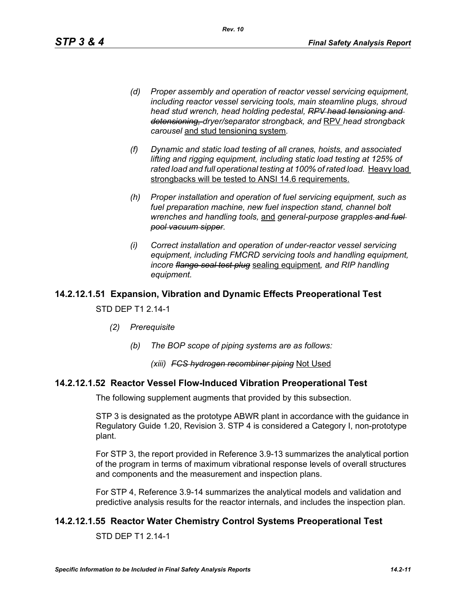*(d) Proper assembly and operation of reactor vessel servicing equipment, including reactor vessel servicing tools, main steamline plugs, shroud head stud wrench, head holding pedestal, RPV head tensioning and detensioning, dryer/separator strongback, and* RPV *head strongback carousel* and stud tensioning system*.*

*Rev. 10*

- *(f) Dynamic and static load testing of all cranes, hoists, and associated lifting and rigging equipment, including static load testing at 125% of*  rated load and full operational testing at 100% of rated load. Heavy load strongbacks will be tested to ANSI 14.6 requirements.
- *(h) Proper installation and operation of fuel servicing equipment, such as fuel preparation machine, new fuel inspection stand, channel bolt wrenches and handling tools,* and *general-purpose grapples and fuel pool vacuum sipper.*
- *(i) Correct installation and operation of under-reactor vessel servicing equipment, including FMCRD servicing tools and handling equipment, incore flange seal test plug* sealing equipment*, and RIP handling equipment.*

# **14.2.12.1.51 Expansion, Vibration and Dynamic Effects Preoperational Test**

#### STD DEP T1 2.14-1

- *(2) Prerequisite*
	- *(b) The BOP scope of piping systems are as follows:*

#### *(xiii) FCS hydrogen recombiner piping* Not Used

#### **14.2.12.1.52 Reactor Vessel Flow-Induced Vibration Preoperational Test**

The following supplement augments that provided by this subsection.

STP 3 is designated as the prototype ABWR plant in accordance with the guidance in Regulatory Guide 1.20, Revision 3. STP 4 is considered a Category I, non-prototype plant.

For STP 3, the report provided in Reference 3.9-13 summarizes the analytical portion of the program in terms of maximum vibrational response levels of overall structures and components and the measurement and inspection plans.

For STP 4, Reference 3.9-14 summarizes the analytical models and validation and predictive analysis results for the reactor internals, and includes the inspection plan.

## **14.2.12.1.55 Reactor Water Chemistry Control Systems Preoperational Test**

STD DEP T1 2.14-1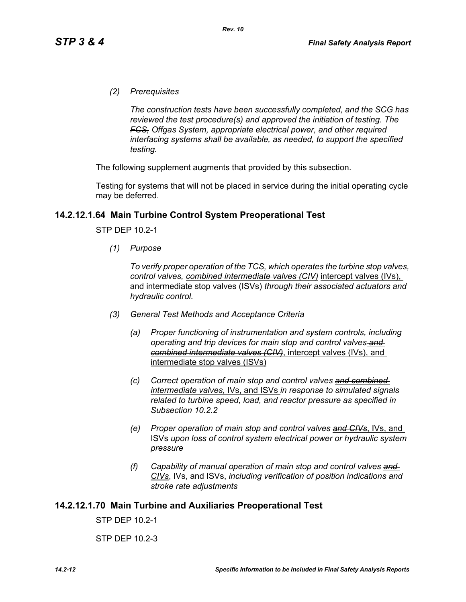*(2) Prerequisites*

*The construction tests have been successfully completed, and the SCG has reviewed the test procedure(s) and approved the initiation of testing. The FCS, Offgas System, appropriate electrical power, and other required interfacing systems shall be available, as needed, to support the specified testing.*

The following supplement augments that provided by this subsection.

Testing for systems that will not be placed in service during the initial operating cycle may be deferred.

#### **14.2.12.1.64 Main Turbine Control System Preoperational Test**

STP DEP 10.2-1

*(1) Purpose*

*To verify proper operation of the TCS, which operates the turbine stop valves, control valves, combined intermediate valves (CIV)* intercept valves (IVs), and intermediate stop valves (ISVs) *through their associated actuators and hydraulic control.*

- *(3) General Test Methods and Acceptance Criteria*
	- *(a) Proper functioning of instrumentation and system controls, including operating and trip devices for main stop and control valves and combined intermediate valves (CIV)*, intercept valves (IVs), and intermediate stop valves (ISVs)
	- *(c) Correct operation of main stop and control valves and combined intermediate valves*, IVs, and ISVs *in response to simulated signals related to turbine speed, load, and reactor pressure as specified in Subsection 10.2.2*
	- *(e) Proper operation of main stop and control valves and CIVs*, IVs, and ISVs *upon loss of control system electrical power or hydraulic system pressure*
	- *(f) Capability of manual operation of main stop and control valves and CIVs*, IVs, and ISVs, *including verification of position indications and stroke rate adjustments*

#### **14.2.12.1.70 Main Turbine and Auxiliaries Preoperational Test**

STP DEP 10.2-1

STP DEP 10.2-3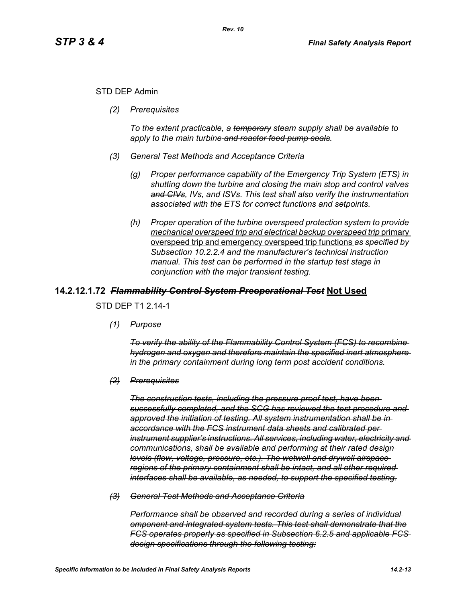## STD DEP Admin

*(2) Prerequisites*

*To the extent practicable, a temporary steam supply shall be available to apply to the main turbine and reactor feed pump seals.*

- *(3) General Test Methods and Acceptance Criteria*
	- *(g) Proper performance capability of the Emergency Trip System (ETS) in shutting down the turbine and closing the main stop and control valves and CIVs, IVs, and ISVs. This test shall also verify the instrumentation associated with the ETS for correct functions and setpoints.*
	- *(h) Proper operation of the turbine overspeed protection system to provide mechanical overspeed trip and electrical backup overspeed trip* primary overspeed trip and emergency overspeed trip functions *as specified by Subsection 10.2.2.4 and the manufacturer's technical instruction manual. This test can be performed in the startup test stage in conjunction with the major transient testing.*

## **14.2.12.1.72** *Flammability Control System Preoperational Test* **Not Used**

STD DEP T1 2.14-1

*(1) Purpose*

*To verify the ability of the Flammability Control System (FCS) to recombine hydrogen and oxygen and therefore maintain the specified inert atmosphere in the primary containment during long term post accident conditions.*

*(2) Prerequisites*

*The construction tests, including the pressure proof test, have been successfully completed, and the SCG has reviewed the test procedure and approved the initiation of testing. All system instrumentation shall be in accordance with the FCS instrument data sheets and calibrated per instrument supplier's instructions. All services, including water, electricity and communications, shall be available and performing at their rated design levels (flow, voltage, pressure, etc.). The wetwell and drywell airspace regions of the primary containment shall be intact, and all other required interfaces shall be available, as needed, to support the specified testing.*

*(3) General Test Methods and Acceptance Criteria*

*Performance shall be observed and recorded during a series of individual omponent and integrated system tests. This test shall demonstrate that the FCS operates properly as specified in Subsection 6.2.5 and applicable FCS design specifications through the following testing:*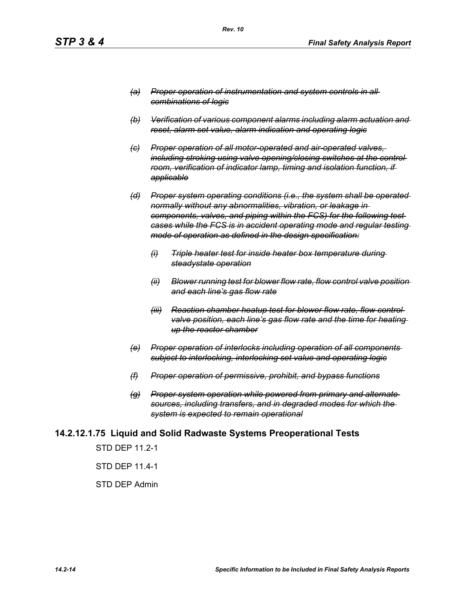- *(a) Proper operation of instrumentation and system controls in all combinations of logic*
- *(b) Verification of various component alarms including alarm actuation and reset, alarm set value, alarm indication and operating logic*
- *(c) Proper operation of all motor-operated and air-operated valves, including stroking using valve opening/closing switches at the control room, verification of indicator lamp, timing and isolation function, if applicable*
- *(d) Proper system operating conditions (i.e., the system shall be operated normally without any abnormalities, vibration, or leakage in components, valves, and piping within the FCS) for the following test cases while the FCS is in accident operating mode and regular testing mode of operation as defined in the design specification:*
	- *(i) Triple heater test for inside heater box temperature during steadystate operation*
	- *(ii) Blower running test for blower flow rate, flow control valve position and each line's gas flow rate*
	- *(iii) Reaction chamber heatup test for blower flow rate, flow control valve position, each line's gas flow rate and the time for heating up the reactor chamber*
- *(e) Proper operation of interlocks including operation of all components subject to interlocking, interlocking set value and operating logic*
- *(f) Proper operation of permissive, prohibit, and bypass functions*
- *(g) Proper system operation while powered from primary and alternate sources, including transfers, and in degraded modes for which the system is expected to remain operational*

## **14.2.12.1.75 Liquid and Solid Radwaste Systems Preoperational Tests**

STD DEP 11.2-1

STD DEP 11.4-1

#### STD DEP Admin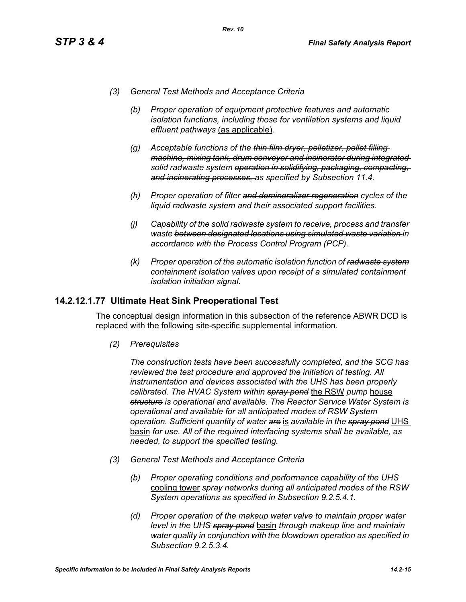- *(3) General Test Methods and Acceptance Criteria*
	- *(b) Proper operation of equipment protective features and automatic isolation functions, including those for ventilation systems and liquid effluent pathways* (as applicable)*.*
	- *(g) Acceptable functions of the thin film dryer, pelletizer, pellet filling machine, mixing tank, drum conveyor and incinerator during integrated solid radwaste system operation in solidifying, packaging, compacting, and incinerating processes, as specified by Subsection 11.4.*
	- *(h) Proper operation of filter and demineralizer regeneration cycles of the liquid radwaste system and their associated support facilities.*
	- *(j) Capability of the solid radwaste system to receive, process and transfer waste between designated locations using simulated waste variation in accordance with the Process Control Program (PCP).*
	- *(k) Proper operation of the automatic isolation function of radwaste system containment isolation valves upon receipt of a simulated containment isolation initiation signal.*

## **14.2.12.1.77 Ultimate Heat Sink Preoperational Test**

The conceptual design information in this subsection of the reference ABWR DCD is replaced with the following site-specific supplemental information.

*(2) Prerequisites*

*The construction tests have been successfully completed, and the SCG has reviewed the test procedure and approved the initiation of testing. All instrumentation and devices associated with the UHS has been properly calibrated. The HVAC System within spray pond* the RSW *pump* house *structure is operational and available. The Reactor Service Water System is operational and available for all anticipated modes of RSW System operation. Sufficient quantity of water are* is *available in the spray pond* UHS basin *for use. All of the required interfacing systems shall be available, as needed, to support the specified testing.*

- *(3) General Test Methods and Acceptance Criteria*
	- *(b) Proper operating conditions and performance capability of the UHS*  cooling tower *spray networks during all anticipated modes of the RSW System operations as specified in Subsection 9.2.5.4.1.*
	- *(d) Proper operation of the makeup water valve to maintain proper water level in the UHS spray pond* basin *through makeup line and maintain water quality in conjunction with the blowdown operation as specified in Subsection 9.2.5.3.4.*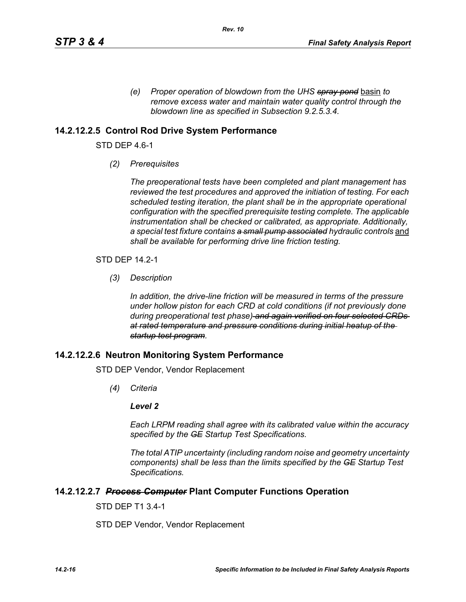*(e) Proper operation of blowdown from the UHS spray pond* basin *to remove excess water and maintain water quality control through the blowdown line as specified in Subsection 9.2.5.3.4.* 

## **14.2.12.2.5 Control Rod Drive System Performance**

STD DEP 4.6-1

*(2) Prerequisites*

*The preoperational tests have been completed and plant management has reviewed the test procedures and approved the initiation of testing. For each scheduled testing iteration, the plant shall be in the appropriate operational configuration with the specified prerequisite testing complete. The applicable instrumentation shall be checked or calibrated, as appropriate. Additionally,*  a special test fixture contains a small pump associated hydraulic controls and *shall be available for performing drive line friction testing.*

STD DEP 14.2-1

*(3) Description*

*In addition, the drive-line friction will be measured in terms of the pressure under hollow piston for each CRD at cold conditions (if not previously done during preoperational test phase) and again verified on four selected CRDs at rated temperature and pressure conditions during initial heatup of the startup test program.*

## **14.2.12.2.6 Neutron Monitoring System Performance**

STD DEP Vendor, Vendor Replacement

*(4) Criteria*

#### *Level 2*

*Each LRPM reading shall agree with its calibrated value within the accuracy specified by the GE Startup Test Specifications.*

*The total ATIP uncertainty (including random noise and geometry uncertainty components) shall be less than the limits specified by the GE Startup Test Specifications.*

## **14.2.12.2.7** *Process Computer* **Plant Computer Functions Operation**

STD DEP T1 3.4-1

STD DEP Vendor, Vendor Replacement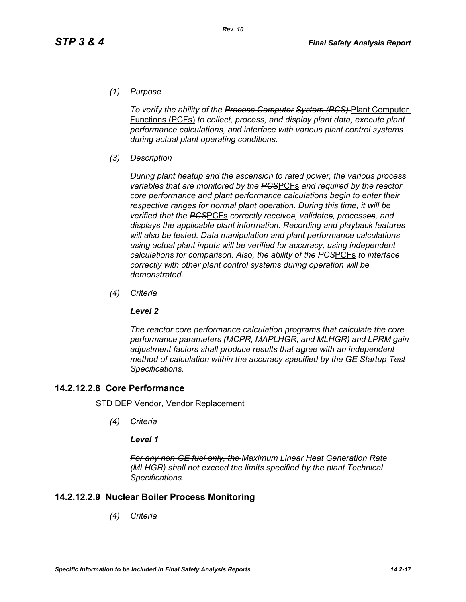*(1) Purpose*

*To verify the ability of the Process Computer System (PCS)* Plant Computer Functions (PCFs) *to collect, process, and display plant data, execute plant performance calculations, and interface with various plant control systems during actual plant operating conditions.*

*(3) Description*

*During plant heatup and the ascension to rated power, the various process variables that are monitored by the PCS*PCFs *and required by the reactor core performance and plant performance calculations begin to enter their respective ranges for normal plant operation. During this time, it will be verified that the PCS*PCFs *correctly receives, validates, processes, and displays the applicable plant information. Recording and playback features will also be tested. Data manipulation and plant performance calculations using actual plant inputs will be verified for accuracy, using independent calculations for comparison. Also, the ability of the PCS*PCFs *to interface correctly with other plant control systems during operation will be demonstrated.*

*(4) Criteria*

## *Level 2*

*The reactor core performance calculation programs that calculate the core performance parameters (MCPR, MAPLHGR, and MLHGR) and LPRM gain adjustment factors shall produce results that agree with an independent method of calculation within the accuracy specified by the GE Startup Test Specifications.*

# **14.2.12.2.8 Core Performance**

STD DEP Vendor, Vendor Replacement

*(4) Criteria*

## *Level 1*

*For any non-GE fuel only, the Maximum Linear Heat Generation Rate (MLHGR) shall not exceed the limits specified by the plant Technical Specifications.*

# **14.2.12.2.9 Nuclear Boiler Process Monitoring**

*(4) Criteria*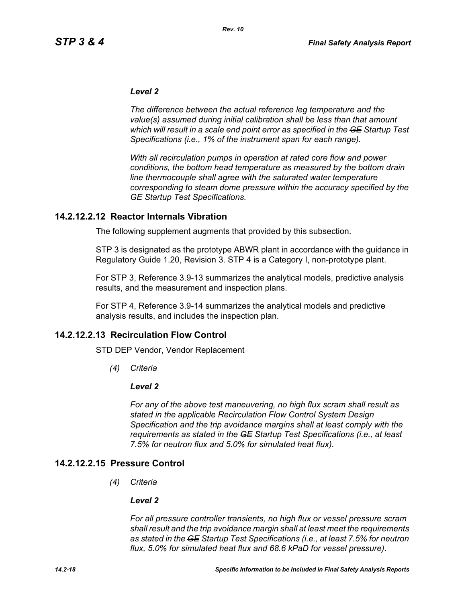#### *Level 2*

*The difference between the actual reference leg temperature and the value(s) assumed during initial calibration shall be less than that amount which will result in a scale end point error as specified in the GE Startup Test Specifications (i.e., 1% of the instrument span for each range).* 

*With all recirculation pumps in operation at rated core flow and power conditions, the bottom head temperature as measured by the bottom drain line thermocouple shall agree with the saturated water temperature corresponding to steam dome pressure within the accuracy specified by the GE Startup Test Specifications.*

## **14.2.12.2.12 Reactor Internals Vibration**

The following supplement augments that provided by this subsection.

STP 3 is designated as the prototype ABWR plant in accordance with the guidance in Regulatory Guide 1.20, Revision 3. STP 4 is a Category I, non-prototype plant.

For STP 3, Reference 3.9-13 summarizes the analytical models, predictive analysis results, and the measurement and inspection plans.

For STP 4, Reference 3.9-14 summarizes the analytical models and predictive analysis results, and includes the inspection plan.

## **14.2.12.2.13 Recirculation Flow Control**

STD DEP Vendor, Vendor Replacement

*(4) Criteria*

#### *Level 2*

*For any of the above test maneuvering, no high flux scram shall result as stated in the applicable Recirculation Flow Control System Design Specification and the trip avoidance margins shall at least comply with the requirements as stated in the GE Startup Test Specifications (i.e., at least 7.5% for neutron flux and 5.0% for simulated heat flux).*

## **14.2.12.2.15 Pressure Control**

*(4) Criteria*

#### *Level 2*

*For all pressure controller transients, no high flux or vessel pressure scram shall result and the trip avoidance margin shall at least meet the requirements as stated in the GE Startup Test Specifications (i.e., at least 7.5% for neutron flux, 5.0% for simulated heat flux and 68.6 kPaD for vessel pressure).*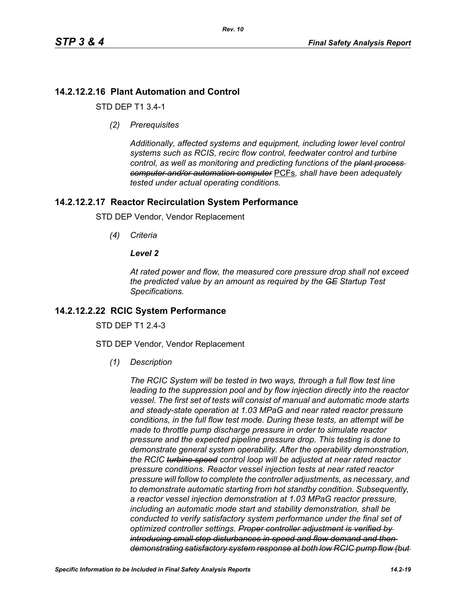# **14.2.12.2.16 Plant Automation and Control**

STD DEP T1 3.4-1

*(2) Prerequisites*

*Additionally, affected systems and equipment, including lower level control systems such as RCIS, recirc flow control, feedwater control and turbine control, as well as monitoring and predicting functions of the plant process computer and/or automation computer* PCFs*, shall have been adequately tested under actual operating conditions.*

# **14.2.12.2.17 Reactor Recirculation System Performance**

STD DEP Vendor, Vendor Replacement

*(4) Criteria*

## *Level 2*

*At rated power and flow, the measured core pressure drop shall not exceed the predicted value by an amount as required by the GE Startup Test Specifications.*

# **14.2.12.2.22 RCIC System Performance**

STD DFP T1 2 4-3

STD DEP Vendor, Vendor Replacement

*(1) Description*

*The RCIC System will be tested in two ways, through a full flow test line leading to the suppression pool and by flow injection directly into the reactor vessel. The first set of tests will consist of manual and automatic mode starts and steady-state operation at 1.03 MPaG and near rated reactor pressure conditions, in the full flow test mode. During these tests, an attempt will be made to throttle pump discharge pressure in order to simulate reactor pressure and the expected pipeline pressure drop. This testing is done to demonstrate general system operability. After the operability demonstration, the RCIC turbine speed control loop will be adjusted at near rated reactor pressure conditions. Reactor vessel injection tests at near rated reactor pressure will follow to complete the controller adjustments, as necessary, and to demonstrate automatic starting from hot standby condition. Subsequently, a reactor vessel injection demonstration at 1.03 MPaG reactor pressure, including an automatic mode start and stability demonstration, shall be conducted to verify satisfactory system performance under the final set of optimized controller settings. Proper controller adjustment is verified by introducing small step disturbances in speed and flow demand and then demonstrating satisfactory system response at both low RCIC pump flow (but*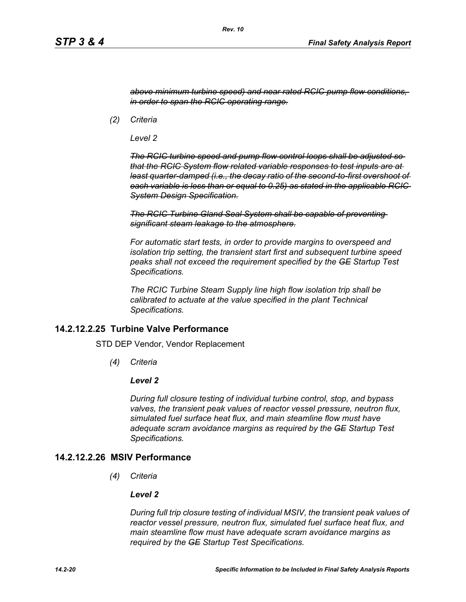*above minimum turbine speed) and near rated RCIC pump flow conditions, in order to span the RCIC operating range.*

*(2) Criteria*

*Level 2*

*The RCIC turbine speed and pump flow control loops shall be adjusted so that the RCIC System flow related variable responses to test inputs are at least quarter-damped (i.e., the decay ratio of the second-to-first overshoot of each variable is less than or equal to 0.25) as stated in the applicable RCIC System Design Specification.*

*The RCIC Turbine Gland Seal System shall be capable of preventing significant steam leakage to the atmosphere.*

*For automatic start tests, in order to provide margins to overspeed and isolation trip setting, the transient start first and subsequent turbine speed peaks shall not exceed the requirement specified by the GE Startup Test Specifications.*

*The RCIC Turbine Steam Supply line high flow isolation trip shall be calibrated to actuate at the value specified in the plant Technical Specifications.*

## **14.2.12.2.25 Turbine Valve Performance**

STD DEP Vendor, Vendor Replacement

*(4) Criteria*

#### *Level 2*

*During full closure testing of individual turbine control, stop, and bypass valves, the transient peak values of reactor vessel pressure, neutron flux, simulated fuel surface heat flux, and main steamline flow must have adequate scram avoidance margins as required by the GE Startup Test Specifications.*

## **14.2.12.2.26 MSIV Performance**

*(4) Criteria*

#### *Level 2*

*During full trip closure testing of individual MSIV, the transient peak values of reactor vessel pressure, neutron flux, simulated fuel surface heat flux, and main steamline flow must have adequate scram avoidance margins as required by the GE Startup Test Specifications.*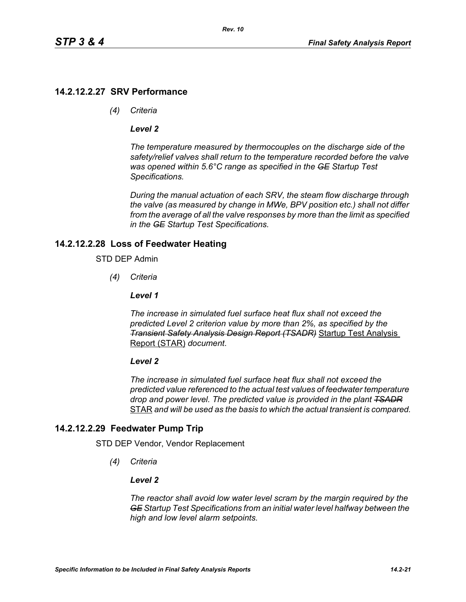# **14.2.12.2.27 SRV Performance**

*(4) Criteria*

## *Level 2*

*The temperature measured by thermocouples on the discharge side of the safety/relief valves shall return to the temperature recorded before the valve was opened within 5.6°C range as specified in the GE Startup Test Specifications.*

*During the manual actuation of each SRV, the steam flow discharge through the valve (as measured by change in MWe, BPV position etc.) shall not differ from the average of all the valve responses by more than the limit as specified in the GE Startup Test Specifications.*

# **14.2.12.2.28 Loss of Feedwater Heating**

## STD DEP Admin

*(4) Criteria*

## *Level 1*

*The increase in simulated fuel surface heat flux shall not exceed the predicted Level 2 criterion value by more than 2%, as specified by the Transient Safety Analysis Design Report (TSADR)* Startup Test Analysis Report (STAR) *document*.

## *Level 2*

*The increase in simulated fuel surface heat flux shall not exceed the predicted value referenced to the actual test values of feedwater temperature drop and power level. The predicted value is provided in the plant TSADR* STAR *and will be used as the basis to which the actual transient is compared.*

# **14.2.12.2.29 Feedwater Pump Trip**

STD DEP Vendor, Vendor Replacement

*(4) Criteria*

## *Level 2*

*The reactor shall avoid low water level scram by the margin required by the GE Startup Test Specifications from an initial water level halfway between the high and low level alarm setpoints.*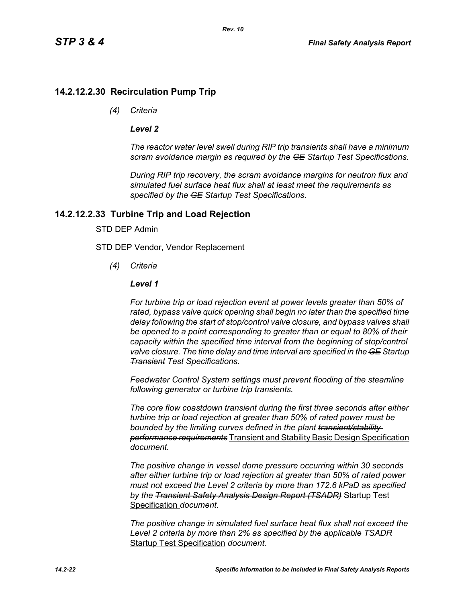*Rev. 10*

## **14.2.12.2.30 Recirculation Pump Trip**

*(4) Criteria*

#### *Level 2*

*The reactor water level swell during RIP trip transients shall have a minimum scram avoidance margin as required by the GE Startup Test Specifications.*

*During RIP trip recovery, the scram avoidance margins for neutron flux and simulated fuel surface heat flux shall at least meet the requirements as specified by the GE Startup Test Specifications.*

#### **14.2.12.2.33 Turbine Trip and Load Rejection**

## STD DEP Admin

STD DEP Vendor, Vendor Replacement

*(4) Criteria*

#### *Level 1*

*For turbine trip or load rejection event at power levels greater than 50% of rated, bypass valve quick opening shall begin no later than the specified time delay following the start of stop/control valve closure, and bypass valves shall be opened to a point corresponding to greater than or equal to 80% of their capacity within the specified time interval from the beginning of stop/control valve closure. The time delay and time interval are specified in the GE Startup Transient Test Specifications.*

*Feedwater Control System settings must prevent flooding of the steamline following generator or turbine trip transients.*

*The core flow coastdown transient during the first three seconds after either turbine trip or load rejection at greater than 50% of rated power must be bounded by the limiting curves defined in the plant transient/stability performance requirements* Transient and Stability Basic Design Specification *document.*

*The positive change in vessel dome pressure occurring within 30 seconds after either turbine trip or load rejection at greater than 50% of rated power must not exceed the Level 2 criteria by more than 172.6 kPaD as specified by the Transient Safety Analysis Design Report (TSADR)* Startup Test Specification *document.*

*The positive change in simulated fuel surface heat flux shall not exceed the Level 2 criteria by more than 2% as specified by the applicable TSADR* Startup Test Specification *document.*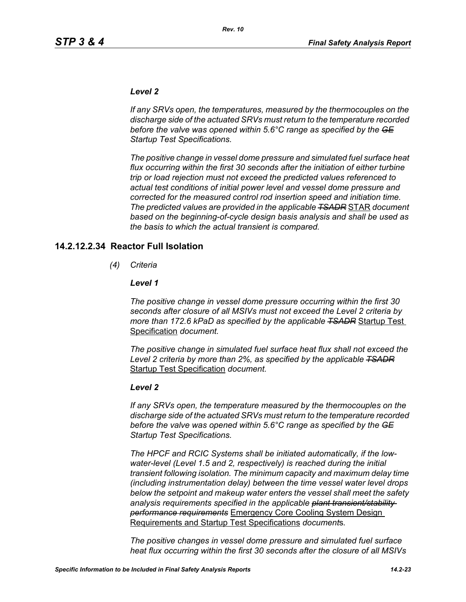#### *Level 2*

*If any SRVs open, the temperatures, measured by the thermocouples on the discharge side of the actuated SRVs must return to the temperature recorded before the valve was opened within 5.6°C range as specified by the GE Startup Test Specifications.*

*The positive change in vessel dome pressure and simulated fuel surface heat flux occurring within the first 30 seconds after the initiation of either turbine trip or load rejection must not exceed the predicted values referenced to actual test conditions of initial power level and vessel dome pressure and corrected for the measured control rod insertion speed and initiation time. The predicted values are provided in the applicable TSADR* STAR *document based on the beginning-of-cycle design basis analysis and shall be used as the basis to which the actual transient is compared.*

#### **14.2.12.2.34 Reactor Full Isolation**

*(4) Criteria*

#### *Level 1*

*The positive change in vessel dome pressure occurring within the first 30 seconds after closure of all MSIVs must not exceed the Level 2 criteria by more than 172.6 kPaD as specified by the applicable TSADR* Startup Test Specification *document.*

*The positive change in simulated fuel surface heat flux shall not exceed the Level 2 criteria by more than 2%, as specified by the applicable TSADR* Startup Test Specification *document.*

#### *Level 2*

*If any SRVs open, the temperature measured by the thermocouples on the discharge side of the actuated SRVs must return to the temperature recorded before the valve was opened within 5.6°C range as specified by the GE Startup Test Specifications.*

*The HPCF and RCIC Systems shall be initiated automatically, if the lowwater-level (Level 1.5 and 2, respectively) is reached during the initial transient following isolation. The minimum capacity and maximum delay time (including instrumentation delay) between the time vessel water level drops below the setpoint and makeup water enters the vessel shall meet the safety analysis requirements specified in the applicable plant transient/stability performance requirements* Emergency Core Cooling System Design Requirements and Startup Test Specifications *document*s*.*

*The positive changes in vessel dome pressure and simulated fuel surface heat flux occurring within the first 30 seconds after the closure of all MSIVs*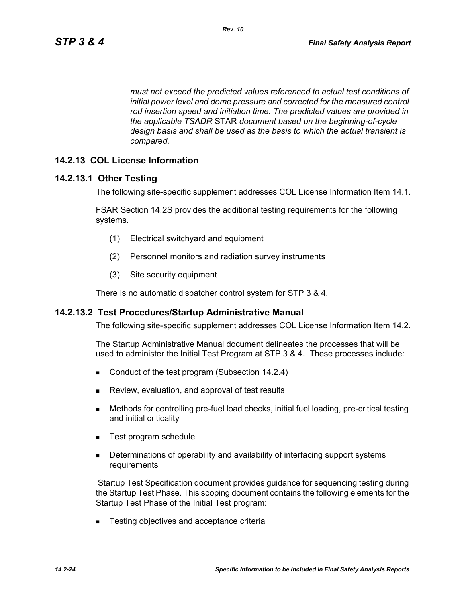*must not exceed the predicted values referenced to actual test conditions of initial power level and dome pressure and corrected for the measured control rod insertion speed and initiation time. The predicted values are provided in the applicable TSADR* STAR *document based on the beginning-of-cycle design basis and shall be used as the basis to which the actual transient is compared.*

## **14.2.13 COL License Information**

## **14.2.13.1 Other Testing**

The following site-specific supplement addresses COL License Information Item 14.1.

FSAR Section 14.2S provides the additional testing requirements for the following systems.

- (1) Electrical switchyard and equipment
- (2) Personnel monitors and radiation survey instruments
- (3) Site security equipment

There is no automatic dispatcher control system for STP 3 & 4.

#### **14.2.13.2 Test Procedures/Startup Administrative Manual**

The following site-specific supplement addresses COL License Information Item 14.2.

The Startup Administrative Manual document delineates the processes that will be used to administer the Initial Test Program at STP 3 & 4. These processes include:

- Conduct of the test program (Subsection 14.2.4)
- **Review, evaluation, and approval of test results**
- Methods for controlling pre-fuel load checks, initial fuel loading, pre-critical testing and initial criticality
- Test program schedule
- **Determinations of operability and availability of interfacing support systems** requirements

 Startup Test Specification document provides guidance for sequencing testing during the Startup Test Phase. This scoping document contains the following elements for the Startup Test Phase of the Initial Test program:

■ Testing objectives and acceptance criteria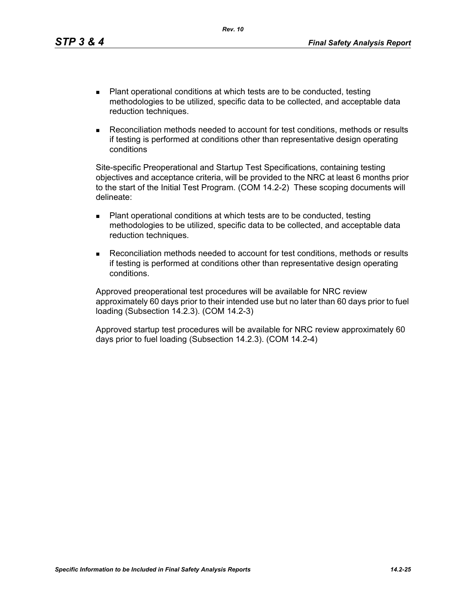- Plant operational conditions at which tests are to be conducted, testing methodologies to be utilized, specific data to be collected, and acceptable data reduction techniques.
- Reconciliation methods needed to account for test conditions, methods or results if testing is performed at conditions other than representative design operating conditions

Site-specific Preoperational and Startup Test Specifications, containing testing objectives and acceptance criteria, will be provided to the NRC at least 6 months prior to the start of the Initial Test Program. (COM 14.2-2) These scoping documents will delineate:

- Plant operational conditions at which tests are to be conducted, testing methodologies to be utilized, specific data to be collected, and acceptable data reduction techniques.
- Reconciliation methods needed to account for test conditions, methods or results if testing is performed at conditions other than representative design operating conditions.

Approved preoperational test procedures will be available for NRC review approximately 60 days prior to their intended use but no later than 60 days prior to fuel loading (Subsection 14.2.3). (COM 14.2-3)

Approved startup test procedures will be available for NRC review approximately 60 days prior to fuel loading (Subsection 14.2.3). (COM 14.2-4)